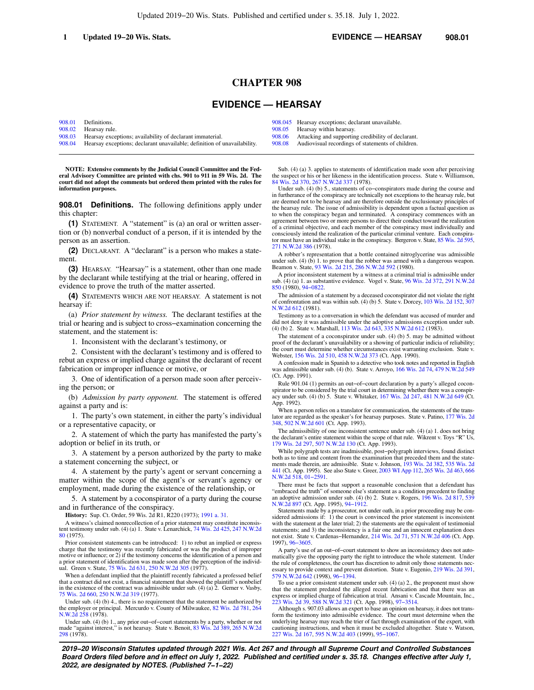# **CHAPTER 908**

# **EVIDENCE — HEARSAY**

[908.01](https://docs.legis.wisconsin.gov/document/statutes/908.01) Definitions.<br>908.02 Hearsay rul Hearsay rule. [908.03](https://docs.legis.wisconsin.gov/document/statutes/908.03) Hearsay exceptions; availability of declarant immaterial. [908.04](https://docs.legis.wisconsin.gov/document/statutes/908.04) Hearsay exceptions; declarant unavailable; definition of unavailability. [908.05](https://docs.legis.wisconsin.gov/document/statutes/908.05) Hearsay within hearsay.<br>908.06 Attacking and supporting

**NOTE: Extensive comments by the Judicial Council Committee and the Federal Advisory Committee are printed with chs. 901 to 911 in 59 Wis. 2d. The court did not adopt the comments but ordered them printed with the rules for information purposes.**

**908.01 Definitions.** The following definitions apply under this chapter:

**(1)** STATEMENT. A "statement" is (a) an oral or written assertion or (b) nonverbal conduct of a person, if it is intended by the person as an assertion.

**(2)** DECLARANT. A "declarant" is a person who makes a statement.

**(3)** HEARSAY. "Hearsay" is a statement, other than one made by the declarant while testifying at the trial or hearing, offered in evidence to prove the truth of the matter asserted.

**(4)** STATEMENTS WHICH ARE NOT HEARSAY. A statement is not hearsay if:

(a) *Prior statement by witness.* The declarant testifies at the trial or hearing and is subject to cross−examination concerning the statement, and the statement is:

1. Inconsistent with the declarant's testimony, or

2. Consistent with the declarant's testimony and is offered to rebut an express or implied charge against the declarant of recent fabrication or improper influence or motive, or

3. One of identification of a person made soon after perceiving the person; or

(b) *Admission by party opponent.* The statement is offered against a party and is:

1. The party's own statement, in either the party's individual or a representative capacity, or

2. A statement of which the party has manifested the party's adoption or belief in its truth, or

3. A statement by a person authorized by the party to make a statement concerning the subject, or

4. A statement by the party's agent or servant concerning a matter within the scope of the agent's or servant's agency or employment, made during the existence of the relationship, or

5. A statement by a coconspirator of a party during the course and in furtherance of the conspiracy.

**History:** Sup. Ct. Order, 59 Wis. 2d R1, R220 (1973); [1991 a. 31.](https://docs.legis.wisconsin.gov/document/acts/1991/31)

A witness's claimed nonrecollection of a prior statement may constitute inconsistent testimony under sub. (4) (a) 1. State v. Lenarchick, [74 Wis. 2d 425](https://docs.legis.wisconsin.gov/document/courts/74%20Wis.%202d%20425), [247 N.W.2d](https://docs.legis.wisconsin.gov/document/courts/247%20N.W.2d%2080) [80](https://docs.legis.wisconsin.gov/document/courts/247%20N.W.2d%2080) (1975).

Prior consistent statements can be introduced: 1) to rebut an implied or express charge that the testimony was recently fabricated or was the product of improper motive or influence; or 2) if the testimony concerns the identification of a person and a prior statement of identification was made soon after the perception of the individ-ual. Green v. State, [75 Wis. 2d 631](https://docs.legis.wisconsin.gov/document/courts/75%20Wis.%202d%20631), [250 N.W.2d 305](https://docs.legis.wisconsin.gov/document/courts/250%20N.W.2d%20305) (1977).

When a defendant implied that the plaintiff recently fabricated a professed belief that a contract did not exist, a financial statement that showed the plaintiff's nonbelief in the existence of the contract was admissible under sub. (4) (a) 2. Gerner v. Vasby, [75 Wis. 2d 660](https://docs.legis.wisconsin.gov/document/courts/75%20Wis.%202d%20660), [250 N.W.2d 319](https://docs.legis.wisconsin.gov/document/courts/250%20N.W.2d%20319) (1977).

Under sub. (4) (b) 4., there is no requirement that the statement be authorized by the employer or principal. Mercurdo v. County of Milwaukee, [82 Wis. 2d 781](https://docs.legis.wisconsin.gov/document/courts/82%20Wis.%202d%20781), [264](https://docs.legis.wisconsin.gov/document/courts/264%20N.W.2d%20258) [N.W.2d 258](https://docs.legis.wisconsin.gov/document/courts/264%20N.W.2d%20258) (1978).

Under sub. (4) (b) 1., any prior out−of−court statements by a party, whether or not made "against interest," is not hearsay. State v. Benoit, [83 Wis. 2d 389](https://docs.legis.wisconsin.gov/document/courts/83%20Wis.%202d%20389), [265 N.W.2d](https://docs.legis.wisconsin.gov/document/courts/265%20N.W.2d%20298) [298](https://docs.legis.wisconsin.gov/document/courts/265%20N.W.2d%20298) (1978).

[908.045](https://docs.legis.wisconsin.gov/document/statutes/908.045) Hearsay exceptions; declarant unavailable.<br>908.05 Hearsay within hearsay.

[908.06](https://docs.legis.wisconsin.gov/document/statutes/908.06) Attacking and supporting credibility of declarant.<br>908.08 Audiovisual recordings of statements of children

Audiovisual recordings of statements of children.

Sub. (4) (a) 3. applies to statements of identification made soon after perceiving the suspect or his or her likeness in the identification process. State v. Williamson, [84 Wis. 2d 370,](https://docs.legis.wisconsin.gov/document/courts/84%20Wis.%202d%20370) [267 N.W.2d 337](https://docs.legis.wisconsin.gov/document/courts/267%20N.W.2d%20337) (1978).

Under sub. (4) (b) 5., statements of co−conspirators made during the course and in furtherance of the conspiracy are technically not exceptions to the hearsay rule, but are deemed not to be hearsay and are therefore outside the exclusionary principles of the hearsay rule. The issue of admissibility is dependent upon a factual question as to when the conspiracy began and terminated. A conspiracy commences with an agreement between two or more persons to direct their conduct toward the realization of a criminal objective, and each member of the conspiracy must individually and consciously intend the realization of the particular criminal venture. Each conspirator must have an individual stake in the conspiracy. Bergeron v. State, [85 Wis. 2d 595](https://docs.legis.wisconsin.gov/document/courts/85%20Wis.%202d%20595), [271 N.W.2d 386](https://docs.legis.wisconsin.gov/document/courts/271%20N.W.2d%20386) (1978).

A robber's representation that a bottle contained nitroglycerine was admissible under sub. (4) (b) 1. to prove that the robber was armed with a dangerous weapon. Beamon v. State, [93 Wis. 2d 215,](https://docs.legis.wisconsin.gov/document/courts/93%20Wis.%202d%20215) [286 N.W.2d 592](https://docs.legis.wisconsin.gov/document/courts/286%20N.W.2d%20592) (1980).

A prior inconsistent statement by a witness at a criminal trial is admissible under sub. (4) (a) 1. as substantive evidence. Vogel v. State, [96 Wis. 2d 372,](https://docs.legis.wisconsin.gov/document/courts/96%20Wis.%202d%20372) [291 N.W.2d](https://docs.legis.wisconsin.gov/document/courts/291%20N.W.2d%20850) [850](https://docs.legis.wisconsin.gov/document/courts/291%20N.W.2d%20850) (1980), [94−0822](https://docs.legis.wisconsin.gov/document/wisupremecourt/94-0822).

The admission of a statement by a deceased coconspirator did not violate the right of confrontation and was within sub. (4) (b) 5. State v. Dorcey, [103 Wis. 2d 152,](https://docs.legis.wisconsin.gov/document/courts/103%20Wis.%202d%20152) [307](https://docs.legis.wisconsin.gov/document/courts/307%20N.W.2d%20612) [N.W.2d 612](https://docs.legis.wisconsin.gov/document/courts/307%20N.W.2d%20612) (1981).

Testimony as to a conversation in which the defendant was accused of murder and did not deny it was admissible under the adoptive admissions exception under sub. (4) (b) 2. State v. Marshall, [113 Wis. 2d 643](https://docs.legis.wisconsin.gov/document/courts/113%20Wis.%202d%20643), [335 N.W.2d 612](https://docs.legis.wisconsin.gov/document/courts/335%20N.W.2d%20612) (1983).

The statement of a coconspirator under sub. (4) (b) 5. may be admitted without proof of the declarant's unavailability or a showing of particular indicia of reliability; the court must determine whether circumstances exist warranting exclusion. State v. Webster, [156 Wis. 2d 510](https://docs.legis.wisconsin.gov/document/courts/156%20Wis.%202d%20510), [458 N.W.2d 373](https://docs.legis.wisconsin.gov/document/courts/458%20N.W.2d%20373) (Ct. App. 1990).

A confession made in Spanish to a detective who took notes and reported in English was admissible under sub. (4) (b). State v. Arroyo, [166 Wis. 2d 74,](https://docs.legis.wisconsin.gov/document/courts/166%20Wis.%202d%2074) [479 N.W.2d 549](https://docs.legis.wisconsin.gov/document/courts/479%20N.W.2d%20549) (Ct. App. 1991).

Rule 901.04 (1) permits an out−of−court declaration by a party's alleged coconspirator to be considered by the trial court in determining whether there was a conspiracy under sub. (4) (b) 5. State v. Whitaker, [167 Wis. 2d 247,](https://docs.legis.wisconsin.gov/document/courts/167%20Wis.%202d%20247) [481 N.W.2d 649](https://docs.legis.wisconsin.gov/document/courts/481%20N.W.2d%20649) (Ct. App. 1992).

When a person relies on a translator for communication, the statements of the translator are regarded as the speaker's for hearsay purposes. State v. Patino, [177 Wis. 2d](https://docs.legis.wisconsin.gov/document/courts/177%20Wis.%202d%20348) [348,](https://docs.legis.wisconsin.gov/document/courts/177%20Wis.%202d%20348) [502 N.W.2d 601](https://docs.legis.wisconsin.gov/document/courts/502%20N.W.2d%20601) (Ct. App. 1993).

The admissibility of one inconsistent sentence under sub. (4) (a) 1. does not bring the declarant's entire statement within the scope of that rule. Wikrent v. Toys "R" Us, [179 Wis. 2d 297](https://docs.legis.wisconsin.gov/document/courts/179%20Wis.%202d%20297), [507 N.W.2d 130](https://docs.legis.wisconsin.gov/document/courts/507%20N.W.2d%20130) (Ct. App. 1993).

While polygraph tests are inadmissible, post−polygraph interviews, found distinct both as to time and content from the examination that preceded them and the statements made therein, are admissible. State v. Johnson, [193 Wis. 2d 382,](https://docs.legis.wisconsin.gov/document/courts/193%20Wis.%202d%20382) [535 Wis. 2d](https://docs.legis.wisconsin.gov/document/courts/535%20Wis.%202d%20441) [441](https://docs.legis.wisconsin.gov/document/courts/535%20Wis.%202d%20441) (Ct. App. 1995). See also State v. Greer, [2003 WI App 112](https://docs.legis.wisconsin.gov/document/courts/2003%20WI%20App%20112), [265 Wis. 2d 463,](https://docs.legis.wisconsin.gov/document/courts/265%20Wis.%202d%20463) [666](https://docs.legis.wisconsin.gov/document/courts/666%20N.W.2d%20518) [N.W.2d 518,](https://docs.legis.wisconsin.gov/document/courts/666%20N.W.2d%20518) [01−2591.](https://docs.legis.wisconsin.gov/document/wicourtofappeals/01-2591)

There must be facts that support a reasonable conclusion that a defendant has "embraced the truth" of someone else's statement as a condition precedent to finding an adoptive admission under sub. (4) (b) 2. State v. Rogers, [196 Wis. 2d 817](https://docs.legis.wisconsin.gov/document/courts/196%20Wis.%202d%20817), [539](https://docs.legis.wisconsin.gov/document/courts/539%20N.W.2d%20897) [N.W.2d 897](https://docs.legis.wisconsin.gov/document/courts/539%20N.W.2d%20897) (Ct. App. 1995), [94−1912](https://docs.legis.wisconsin.gov/document/wicourtofappeals/94-1912).

Statements made by a prosecutor, not under oath, in a prior proceeding may be considered admissions if: 1) the court is convinced the prior statement is inconsistent with the statement at the later trial; 2) the statements are the equivalent of testimonial statements; and 3) the inconsistency is a fair one and an innocent explanation does not exist. State v. Cardenas−Hernandez, [214 Wis. 2d 71,](https://docs.legis.wisconsin.gov/document/courts/214%20Wis.%202d%2071) [571 N.W.2d 406](https://docs.legis.wisconsin.gov/document/courts/571%20N.W.2d%20406) (Ct. App. 1997), [96−3605](https://docs.legis.wisconsin.gov/document/wicourtofappeals/96-3605).

A party's use of an out−of−court statement to show an inconsistency does not automatically give the opposing party the right to introduce the whole statement. Under the rule of completeness, the court has discretion to admit only those statements necessary to provide context and prevent distortion. State v. Eugenio, [219 Wis. 2d 391](https://docs.legis.wisconsin.gov/document/courts/219%20Wis.%202d%20391), [579 N.W.2d 642](https://docs.legis.wisconsin.gov/document/courts/579%20N.W.2d%20642) (1998), [96−1394.](https://docs.legis.wisconsin.gov/document/wisupremecourt/96-1394)

To use a prior consistent statement under sub. (4) (a) 2., the proponent must show that the statement predated the alleged recent fabrication and that there was an express or implied charge of fabrication at trial. Ansani v. Cascade Mountain, Inc., [223 Wis. 2d 39,](https://docs.legis.wisconsin.gov/document/courts/223%20Wis.%202d%2039) [588 N.W.2d 321](https://docs.legis.wisconsin.gov/document/courts/588%20N.W.2d%20321) (Ct. App. 1998), 97–3514.

Although s. 907.03 allows an expert to base an opinion on hearsay, it does not trans-form the testimony into admissible evidence. The court must determine when the underlying hearsay may reach the trier of fact through examination of the expert, with cautioning instructions, and when it must be excluded altogether. State v. Watson, [227 Wis. 2d 167](https://docs.legis.wisconsin.gov/document/courts/227%20Wis.%202d%20167), [595 N.W.2d 403](https://docs.legis.wisconsin.gov/document/courts/595%20N.W.2d%20403) (1999), [95−1067](https://docs.legis.wisconsin.gov/document/wisupremecourt/95-1067).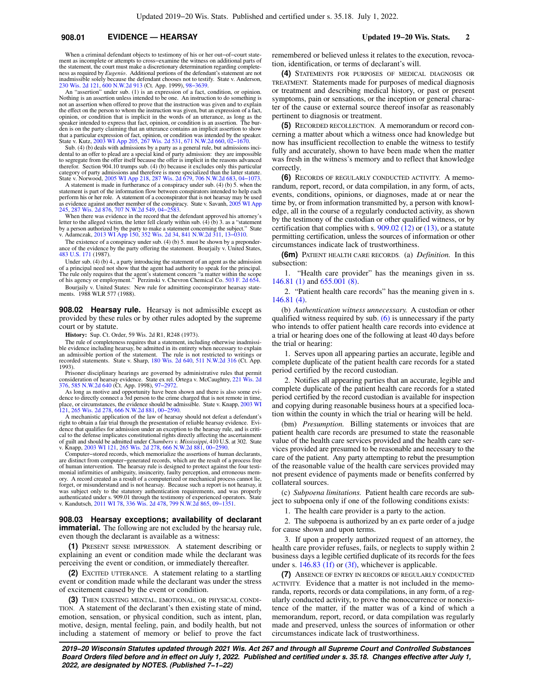# **908.01 EVIDENCE — HEARSAY Updated 19−20 Wis. Stats. 2**

When a criminal defendant objects to testimony of his or her out−of−court statement as incomplete or attempts to cross−examine the witness on additional parts of the statement, the court must make a discretionary determination regarding completeness as required by *Eugenio*. Additional portions of the defendant's statement are not ness as required by *Eugenio*. Additional portions of the defendant's inadmissible solely because the defendant chooses not to testify. State v. Anderson, [230 Wis. 2d 121,](https://docs.legis.wisconsin.gov/document/courts/230%20Wis.%202d%20121) [600 N.W.2d 913](https://docs.legis.wisconsin.gov/document/courts/600%20N.W.2d%20913) (Ct. App. 1999), [98−3639.](https://docs.legis.wisconsin.gov/document/wicourtofappeals/98-3639)

An "assertion" under sub. (1) is an expression of a fact, condition, or opinion. Nothing is an assertion unless intended to be one. An instruction to do something is not an assertion when offered to prove that the instruction was given and to explain the effect on the person to whom the instruction was given, but an expression of a fact, opinion, or condition that is implicit in the words of an utterance, as long as the speaker intended to express that fact, opinion, or condition is an assertion. The burden is on the party claiming that an utterance contains an implicit assertion to show that a particular expression of fact, opinion, or condition was intended by the speaker.<br>State v. Kutz, [2003 WI App 205](https://docs.legis.wisconsin.gov/document/courts/2003%20WI%20App%20205), [267 Wis. 2d 531,](https://docs.legis.wisconsin.gov/document/courts/267%20Wis.%202d%20531) [671 N.W.2d 660](https://docs.legis.wisconsin.gov/document/courts/671%20N.W.2d%20660), 02–1670.<br>Sub. (4) (b) deals with admissions by a party as a general

dental to an offer to plead are a special kind of party admission: they are impossible to segregate from the offer itself because the offer is implicit in the reasons advanced<br>therefor. Section 904.10 trumps sub. (4) (b) because it excludes only this particular<br>category of party admissions and therefore is m State v. Norwood, [2005 WI App 218,](https://docs.legis.wisconsin.gov/document/courts/2005%20WI%20App%20218) [287 Wis. 2d 679](https://docs.legis.wisconsin.gov/document/courts/287%20Wis.%202d%20679), [706 N.W.2d 683](https://docs.legis.wisconsin.gov/document/courts/706%20N.W.2d%20683), [04−1073](https://docs.legis.wisconsin.gov/document/wicourtofappeals/04-1073).

A statement is made in furtherance of a conspiracy under sub. (4) (b) 5. when the statement is part of the information flow between conspirators intended to help each perform his or her role. A statement of a coconspirator that is not hearsay may be used as evidence against another member of the conspiracy. State v. Savanh, [2005 WI App](https://docs.legis.wisconsin.gov/document/courts/2005%20WI%20App%20245) [245](https://docs.legis.wisconsin.gov/document/courts/2005%20WI%20App%20245), [287 Wis. 2d 876,](https://docs.legis.wisconsin.gov/document/courts/287%20Wis.%202d%20876) [707 N.W.2d 549,](https://docs.legis.wisconsin.gov/document/courts/707%20N.W.2d%20549) [04−2583.](https://docs.legis.wisconsin.gov/document/wicourtofappeals/04-2583)

When there was evidence in the record that the defendant approved his attorney's letter to the alleged victim, the letter fell clearly within sub.  $(4)$  (b) 3. as a "statement by a person authorized by the party to make a statement concerning the subject." State v. Adamczak, [2013 WI App 150,](https://docs.legis.wisconsin.gov/document/courts/2013%20WI%20App%20150) [352 Wis. 2d 34,](https://docs.legis.wisconsin.gov/document/courts/352%20Wis.%202d%2034) [841 N.W.2d 311](https://docs.legis.wisconsin.gov/document/courts/841%20N.W.2d%20311), [13−0310](https://docs.legis.wisconsin.gov/document/wicourtofappeals/13-0310).

The existence of a conspiracy under sub. (4) (b) 5. must be shown by a preponderance of the evidence by the party offering the statement. Bourjaily v. United States, [483 U.S. 171](https://docs.legis.wisconsin.gov/document/courts/483%20U.S.%20171) (1987).

Under sub. (4) (b) 4., a party introducing the statement of an agent as the admission of a principal need not show that the agent had authority to speak for the principal. The rule only requires that the agent's statement concern "a matter within the scope of his agency or employment." Perzinski v. Chevron Chemical Co. [503 F. 2d 654.](https://docs.legis.wisconsin.gov/document/courts/503%20F.%202d%20654)

Bourjaily v. United States: New rule for admitting coconspirator hearsay statements. 1988 WLR 577 (1988).

**908.02 Hearsay rule.** Hearsay is not admissible except as provided by these rules or by other rules adopted by the supreme court or by statute.

**History:** Sup. Ct. Order, 59 Wis. 2d R1, R248 (1973).

The rule of completeness requires that a statement, including otherwise inadmissi-ble evidence including hearsay, be admitted in its entirety when necessary to explain<br>an admissible portion of the statement. The rule is not restricted to writings or<br>recorded statements. State v. Sharp, [180 Wis. 2d 640,](https://docs.legis.wisconsin.gov/document/courts/180%20Wis.%202d%20640) 1993).

Prisoner disciplinary hearings are governed by administrative rules that permit consideration of hearsay evidence. State ex rel. Ortega v. McCaughtry, [221 Wis. 2d](https://docs.legis.wisconsin.gov/document/courts/221%20Wis.%202d%20376) [376](https://docs.legis.wisconsin.gov/document/courts/221%20Wis.%202d%20376), [585 N.W.2d 640](https://docs.legis.wisconsin.gov/document/courts/585%20N.W.2d%20640) (Ct. App. 1998), [97−2972](https://docs.legis.wisconsin.gov/document/wicourtofappeals/97-2972).

As long as motive and opportunity have been shown and there is also some evi-dence to directly connect a 3rd person to the crime charged that is not remote in time, place, or circumstances, the evidence should be admissible. State v. Knapp, [2003 WI](https://docs.legis.wisconsin.gov/document/courts/2003%20WI%20121) [121](https://docs.legis.wisconsin.gov/document/courts/2003%20WI%20121), [265 Wis. 2d 278,](https://docs.legis.wisconsin.gov/document/courts/265%20Wis.%202d%20278) [666 N.W.2d 881,](https://docs.legis.wisconsin.gov/document/courts/666%20N.W.2d%20881) [00−2590.](https://docs.legis.wisconsin.gov/document/wisupremecourt/00-2590)

A mechanistic application of the law of hearsay should not defeat a defendant's right to obtain a fair trial through the presentation of reliable hearsay evidence. Evidence that qualifies for admission under an exception to the hearsay rule, and is criti-cal to the defense implicates constitutional rights directly affecting the ascertainment of guilt and should be admitted under *Chambers v. Mississippi*, 410 U.S. at 302. State v. Knapp, [2003 WI 121,](https://docs.legis.wisconsin.gov/document/courts/2003%20WI%20121) [265 Wis. 2d 278](https://docs.legis.wisconsin.gov/document/courts/265%20Wis.%202d%20278), [666 N.W.2d 881,](https://docs.legis.wisconsin.gov/document/courts/666%20N.W.2d%20881) [00−2590.](https://docs.legis.wisconsin.gov/document/wisupremecourt/00-2590)

Computer−stored records, which memorialize the assertions of human declarants, are distinct from computer−generated records, which are the result of a process free of human intervention. The hearsay rule is designed to protect against the four testimonial infirmities of ambiguity, insincerity, faulty perception, and erroneous memory. A record created as a result of a computerized or mechanical process cannot lie, forget, or misunderstand and is not hearsay. Because such a report is not hearsay, it was subject only to the statutory authentication requirements, and was properly authenticated under s. 909.01 through the testimony of experienced operators. State v. Kandutsch, [2011 WI 78](https://docs.legis.wisconsin.gov/document/courts/2011%20WI%2078), [336 Wis. 2d 478,](https://docs.legis.wisconsin.gov/document/courts/336%20Wis.%202d%20478) [799 N.W.2d 865](https://docs.legis.wisconsin.gov/document/courts/799%20N.W.2d%20865),

**908.03 Hearsay exceptions; availability of declarant immaterial.** The following are not excluded by the hearsay rule, even though the declarant is available as a witness:

**(1)** PRESENT SENSE IMPRESSION. A statement describing or explaining an event or condition made while the declarant was perceiving the event or condition, or immediately thereafter.

**(2)** EXCITED UTTERANCE. A statement relating to a startling event or condition made while the declarant was under the stress of excitement caused by the event or condition.

**(3)** THEN EXISTING MENTAL, EMOTIONAL, OR PHYSICAL CONDI-TION. A statement of the declarant's then existing state of mind, emotion, sensation, or physical condition, such as intent, plan, motive, design, mental feeling, pain, and bodily health, but not including a statement of memory or belief to prove the fact remembered or believed unless it relates to the execution, revocation, identification, or terms of declarant's will.

**(4)** STATEMENTS FOR PURPOSES OF MEDICAL DIAGNOSIS OR TREATMENT. Statements made for purposes of medical diagnosis or treatment and describing medical history, or past or present symptoms, pain or sensations, or the inception or general character of the cause or external source thereof insofar as reasonably pertinent to diagnosis or treatment.

**(5)** RECORDED RECOLLECTION. A memorandum or record concerning a matter about which a witness once had knowledge but now has insufficient recollection to enable the witness to testify fully and accurately, shown to have been made when the matter was fresh in the witness's memory and to reflect that knowledge correctly.

**(6)** RECORDS OF REGULARLY CONDUCTED ACTIVITY. A memorandum, report, record, or data compilation, in any form, of acts, events, conditions, opinions, or diagnoses, made at or near the time by, or from information transmitted by, a person with knowledge, all in the course of a regularly conducted activity, as shown by the testimony of the custodian or other qualified witness, or by certification that complies with s. [909.02 \(12\)](https://docs.legis.wisconsin.gov/document/statutes/909.02(12)) or [\(13\)](https://docs.legis.wisconsin.gov/document/statutes/909.02(13)), or a statute permitting certification, unless the sources of information or other circumstances indicate lack of trustworthiness.

**(6m)** PATIENT HEALTH CARE RECORDS. (a) *Definition.* In this subsection:

1. "Health care provider" has the meanings given in ss. [146.81 \(1\)](https://docs.legis.wisconsin.gov/document/statutes/146.81(1)) and [655.001 \(8\).](https://docs.legis.wisconsin.gov/document/statutes/655.001(8))

2. "Patient health care records" has the meaning given in s. [146.81 \(4\).](https://docs.legis.wisconsin.gov/document/statutes/146.81(4))

(b) *Authentication witness unnecessary.* A custodian or other qualified witness required by sub. [\(6\)](https://docs.legis.wisconsin.gov/document/statutes/908.03(6)) is unnecessary if the party who intends to offer patient health care records into evidence at a trial or hearing does one of the following at least 40 days before the trial or hearing:

1. Serves upon all appearing parties an accurate, legible and complete duplicate of the patient health care records for a stated period certified by the record custodian.

2. Notifies all appearing parties that an accurate, legible and complete duplicate of the patient health care records for a stated period certified by the record custodian is available for inspection and copying during reasonable business hours at a specified location within the county in which the trial or hearing will be held.

(bm) *Presumption.* Billing statements or invoices that are patient health care records are presumed to state the reasonable value of the health care services provided and the health care services provided are presumed to be reasonable and necessary to the care of the patient. Any party attempting to rebut the presumption of the reasonable value of the health care services provided may not present evidence of payments made or benefits conferred by collateral sources.

(c) *Subpoena limitations.* Patient health care records are subject to subpoena only if one of the following conditions exists:

1. The health care provider is a party to the action.

2. The subpoena is authorized by an ex parte order of a judge for cause shown and upon terms.

3. If upon a properly authorized request of an attorney, the health care provider refuses, fails, or neglects to supply within 2 business days a legible certified duplicate of its records for the fees under s. [146.83 \(1f\)](https://docs.legis.wisconsin.gov/document/statutes/146.83(1f)) or [\(3f\)](https://docs.legis.wisconsin.gov/document/statutes/146.83(3f)), whichever is applicable.

**(7)** ABSENCE OF ENTRY IN RECORDS OF REGULARLY CONDUCTED ACTIVITY. Evidence that a matter is not included in the memoranda, reports, records or data compilations, in any form, of a regularly conducted activity, to prove the nonoccurrence or nonexistence of the matter, if the matter was of a kind of which a memorandum, report, record, or data compilation was regularly made and preserved, unless the sources of information or other circumstances indicate lack of trustworthiness.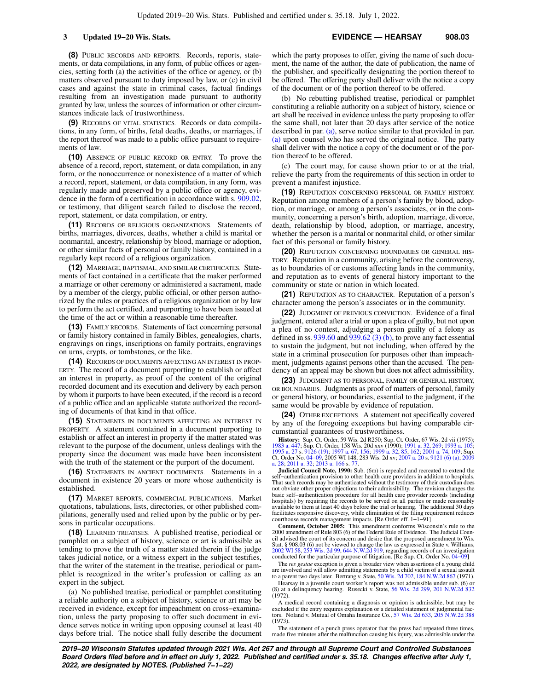**3 Updated 19−20 Wis. Stats. EVIDENCE — HEARSAY 908.03**

**(8)** PUBLIC RECORDS AND REPORTS. Records, reports, statements, or data compilations, in any form, of public offices or agencies, setting forth (a) the activities of the office or agency, or (b) matters observed pursuant to duty imposed by law, or (c) in civil cases and against the state in criminal cases, factual findings resulting from an investigation made pursuant to authority granted by law, unless the sources of information or other circumstances indicate lack of trustworthiness.

**(9)** RECORDS OF VITAL STATISTICS. Records or data compilations, in any form, of births, fetal deaths, deaths, or marriages, if the report thereof was made to a public office pursuant to requirements of law.

**(10)** ABSENCE OF PUBLIC RECORD OR ENTRY. To prove the absence of a record, report, statement, or data compilation, in any form, or the nonoccurrence or nonexistence of a matter of which a record, report, statement, or data compilation, in any form, was regularly made and preserved by a public office or agency, evidence in the form of a certification in accordance with s. [909.02,](https://docs.legis.wisconsin.gov/document/statutes/909.02) or testimony, that diligent search failed to disclose the record, report, statement, or data compilation, or entry.

**(11)** RECORDS OF RELIGIOUS ORGANIZATIONS. Statements of births, marriages, divorces, deaths, whether a child is marital or nonmarital, ancestry, relationship by blood, marriage or adoption, or other similar facts of personal or family history, contained in a regularly kept record of a religious organization.

**(12)** MARRIAGE, BAPTISMAL, AND SIMILAR CERTIFICATES. Statements of fact contained in a certificate that the maker performed a marriage or other ceremony or administered a sacrament, made by a member of the clergy, public official, or other person authorized by the rules or practices of a religious organization or by law to perform the act certified, and purporting to have been issued at the time of the act or within a reasonable time thereafter.

**(13)** FAMILY RECORDS. Statements of fact concerning personal or family history contained in family Bibles, genealogies, charts, engravings on rings, inscriptions on family portraits, engravings on urns, crypts, or tombstones, or the like.

**(14)** RECORDS OF DOCUMENTS AFFECTING AN INTEREST IN PROP-ERTY. The record of a document purporting to establish or affect an interest in property, as proof of the content of the original recorded document and its execution and delivery by each person by whom it purports to have been executed, if the record is a record of a public office and an applicable statute authorized the recording of documents of that kind in that office.

**(15)** STATEMENTS IN DOCUMENTS AFFECTING AN INTEREST IN PROPERTY. A statement contained in a document purporting to establish or affect an interest in property if the matter stated was relevant to the purpose of the document, unless dealings with the property since the document was made have been inconsistent with the truth of the statement or the purport of the document.

**(16)** STATEMENTS IN ANCIENT DOCUMENTS. Statements in a document in existence 20 years or more whose authenticity is established.

**(17)** MARKET REPORTS, COMMERCIAL PUBLICATIONS. Market quotations, tabulations, lists, directories, or other published compilations, generally used and relied upon by the public or by persons in particular occupations.

**(18)** LEARNED TREATISES. A published treatise, periodical or pamphlet on a subject of history, science or art is admissible as tending to prove the truth of a matter stated therein if the judge takes judicial notice, or a witness expert in the subject testifies, that the writer of the statement in the treatise, periodical or pamphlet is recognized in the writer's profession or calling as an expert in the subject.

(a) No published treatise, periodical or pamphlet constituting a reliable authority on a subject of history, science or art may be received in evidence, except for impeachment on cross−examination, unless the party proposing to offer such document in evidence serves notice in writing upon opposing counsel at least 40 days before trial. The notice shall fully describe the document which the party proposes to offer, giving the name of such document, the name of the author, the date of publication, the name of the publisher, and specifically designating the portion thereof to be offered. The offering party shall deliver with the notice a copy of the document or of the portion thereof to be offered.

(b) No rebutting published treatise, periodical or pamphlet constituting a reliable authority on a subject of history, science or art shall be received in evidence unless the party proposing to offer the same shall, not later than 20 days after service of the notice described in par. [\(a\)](https://docs.legis.wisconsin.gov/document/statutes/908.03(18)(a)), serve notice similar to that provided in par. [\(a\)](https://docs.legis.wisconsin.gov/document/statutes/908.03(18)(a)) upon counsel who has served the original notice. The party shall deliver with the notice a copy of the document or of the portion thereof to be offered.

(c) The court may, for cause shown prior to or at the trial, relieve the party from the requirements of this section in order to prevent a manifest injustice.

**(19)** REPUTATION CONCERNING PERSONAL OR FAMILY HISTORY. Reputation among members of a person's family by blood, adoption, or marriage, or among a person's associates, or in the community, concerning a person's birth, adoption, marriage, divorce, death, relationship by blood, adoption, or marriage, ancestry, whether the person is a marital or nonmarital child, or other similar fact of this personal or family history.

**(20)** REPUTATION CONCERNING BOUNDARIES OR GENERAL HIS-TORY. Reputation in a community, arising before the controversy, as to boundaries of or customs affecting lands in the community, and reputation as to events of general history important to the community or state or nation in which located.

**(21)** REPUTATION AS TO CHARACTER. Reputation of a person's character among the person's associates or in the community.

**(22)** JUDGMENT OF PREVIOUS CONVICTION. Evidence of a final judgment, entered after a trial or upon a plea of guilty, but not upon a plea of no contest, adjudging a person guilty of a felony as defined in ss.  $939.60$  and  $939.62$  (3) (b), to prove any fact essential to sustain the judgment, but not including, when offered by the state in a criminal prosecution for purposes other than impeachment, judgments against persons other than the accused. The pendency of an appeal may be shown but does not affect admissibility.

**(23)** JUDGMENT AS TO PERSONAL, FAMILY OR GENERAL HISTORY, OR BOUNDARIES. Judgments as proof of matters of personal, family or general history, or boundaries, essential to the judgment, if the same would be provable by evidence of reputation.

**(24)** OTHER EXCEPTIONS. A statement not specifically covered by any of the foregoing exceptions but having comparable circumstantial guarantees of trustworthiness.

**History:** Sup. Ct. Order, 59 Wis. 2d R250; Sup. Ct. Order, 67 Wis. 2d vii (1975); [1983 a. 447](https://docs.legis.wisconsin.gov/document/acts/1983/447); Sup. Ct. Order, 158 Wis. 20d xxv (1990); [1991 a. 32,](https://docs.legis.wisconsin.gov/document/acts/1991/32) [269](https://docs.legis.wisconsin.gov/document/acts/1991/269); [1993 a. 105](https://docs.legis.wisconsin.gov/document/acts/1993/105);<br>[1995 a. 27](https://docs.legis.wisconsin.gov/document/acts/1995/27) s. [9126 \(19\);](https://docs.legis.wisconsin.gov/document/acts/1995/27,%20s.%209126) [1997 a. 67,](https://docs.legis.wisconsin.gov/document/acts/1997/67) [156;](https://docs.legis.wisconsin.gov/document/acts/1997/156) [1999 a. 32,](https://docs.legis.wisconsin.gov/document/acts/1999/32) [85](https://docs.legis.wisconsin.gov/document/acts/1999/85), [162](https://docs.legis.wisconsin.gov/document/acts/1999/162); [2001 a. 74](https://docs.legis.wisconsin.gov/document/acts/2001/74), [109](https://docs.legis.wisconsin.gov/document/acts/2001/109); Sup.<br>Ct. Order No. 04–09, 2005 WI 148, 283 Wis. 2d xv; 200 28; [2011 a. 32;](https://docs.legis.wisconsin.gov/document/acts/2011/32) [2013 a. 166](https://docs.legis.wisconsin.gov/document/acts/2013/166) s.

**Judicial Council Note, 1990:** Sub. (6m) is repealed and recreated to extend the self−authentication provision to other health care providers in addition to hospitals. That such records may be authenticated without the testimony of their custodian does not obviate other proper objections to their admissibility. The revision changes the basic self−authentication procedure for all health care provider records (including hospitals) by requiring the records to be served on all parties or made reasonably available to them at least 40 days before the trial or hearing. The additional 30 days facilitates responsive discovery, while elimination of the filing requirement reduces courthouse records management impacts. [Re Order eff. 1−1−91]

**Comment, October 2005:** This amendment conforms Wisconsin's rule to the 2000 amendment of Rule 803 (6) of the Federal Rule of Evidence. The Judicial Council advised the court of its concern and desire that the proposed amendment to Wis. Stat. § 908.03 (6) not be viewed to change the law as expressed in State v. Williams, [2002 WI 58,](https://docs.legis.wisconsin.gov/document/courts/2002%20WI%2058) [253 Wis. 2d 99](https://docs.legis.wisconsin.gov/document/courts/253%20Wis.%202d%2099), [644 N.W.2d 919,](https://docs.legis.wisconsin.gov/document/courts/644%20N.W.2d%20919) regarding records of an investigation conducted for the particular purpose of litigation. [Re Sup. Ct. Order No. [04−09\]](https://docs.legis.wisconsin.gov/document/sco/04-09)

The *res gestae* exception is given a broader view when assertions of a young child are involved and will allow admitting statements by a child victim of a sexual assault to a parent two days later. Bertrang v. State, [50 Wis. 2d 702](https://docs.legis.wisconsin.gov/document/courts/50%20Wis.%202d%20702), [184 N.W.2d 867](https://docs.legis.wisconsin.gov/document/courts/184%20N.W.2d%20867) (1971).

Hearsay in a juvenile court worker's report was not admissible under sub. (6) or (8) at a delinquency hearing. Rusecki v. State, [56 Wis. 2d 299](https://docs.legis.wisconsin.gov/document/courts/56%20Wis.%202d%20299), [201 N.W.2d 832](https://docs.legis.wisconsin.gov/document/courts/201%20N.W.2d%20832)  $(1972)$ .

A medical record containing a diagnosis or opinion is admissible, but may be excluded if the entry requires explanation or a detailed statement of judgmental fac-<br>tors. Noland v. Mutual of Omaha Insurance Co., [57 Wis. 2d 633](https://docs.legis.wisconsin.gov/document/courts/57%20Wis.%202d%20633), [205 N.W.2d 388](https://docs.legis.wisconsin.gov/document/courts/205%20N.W.2d%20388) (1973).

The statement of a punch press operator that the press had repeated three times, made five minutes after the malfunction causing his injury, was admissible under the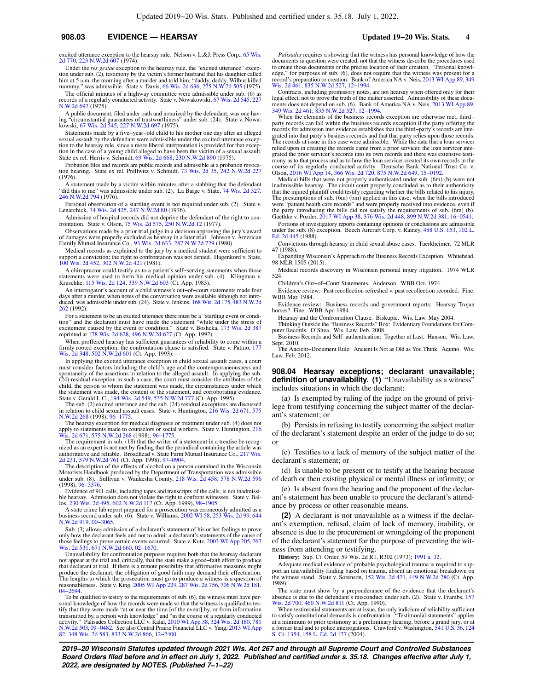### **908.03 EVIDENCE — HEARSAY Updated 19−20 Wis. Stats. 4**

excited utterance exception to the hearsay rule. Nelson v. L.&J. Press Corp., [65 Wis.](https://docs.legis.wisconsin.gov/document/courts/65%20Wis.%202d%20770) [2d 770](https://docs.legis.wisconsin.gov/document/courts/65%20Wis.%202d%20770), [223 N.W.2d 607](https://docs.legis.wisconsin.gov/document/courts/223%20N.W.2d%20607) (1974).

Under the *res gestae* exception to the hearsay rule, the "excited utterance" exception under sub. (2), testimony by the victim's former husband that his daughter called him at 5 a.m. the morning after a murder and told him, "daddy, daddy, Wilbur killed mommy," was admissible. State v. Davis, [66 Wis. 2d 636,](https://docs.legis.wisconsin.gov/document/courts/66%20Wis.%202d%20636) [225 N.W.2d 505](https://docs.legis.wisconsin.gov/document/courts/225%20N.W.2d%20505) (1975).

The official minutes of a highway committee were admissible under sub. (6) as records of a regularly conducted activity. State v. Nowakowski, [67 Wis. 2d 545](https://docs.legis.wisconsin.gov/document/courts/67%20Wis.%202d%20545), [227](https://docs.legis.wisconsin.gov/document/courts/227%20N.W.2d%20697) [N.W.2d 697](https://docs.legis.wisconsin.gov/document/courts/227%20N.W.2d%20697) (1975).

A public document, filed under oath and notarized by the defendant, was one having "circumstantial guarantees of trustworthiness" under sub. (24). State v. Nowakowski, [67 Wis. 2d 545](https://docs.legis.wisconsin.gov/document/courts/67%20Wis.%202d%20545), [227 N.W.2d 697](https://docs.legis.wisconsin.gov/document/courts/227%20N.W.2d%20697) (1975).

Statements made by a five−year−old child to his mother one day after an alleged sexual assault by the defendant were admissible under the excited utterance exception to the hearsay rule, since a more liberal interpretation is provided for that exception in the case of a young child alleged to have been the victim of a sexual assault. State ex rel. Harris v. Schmidt, [69 Wis. 2d 668,](https://docs.legis.wisconsin.gov/document/courts/69%20Wis.%202d%20668) [230 N.W.2d 890](https://docs.legis.wisconsin.gov/document/courts/230%20N.W.2d%20890) (1975).

Probation files and records are public records and admissible at a probation revocation hearing. State ex rel. Prellwitz v. Schmidt, [73 Wis. 2d 35,](https://docs.legis.wisconsin.gov/document/courts/73%20Wis.%202d%2035) [242 N.W.2d 227](https://docs.legis.wisconsin.gov/document/courts/242%20N.W.2d%20227) (1976).

A statement made by a victim within minutes after a stabbing that the defendant "did this to me" was admissible under sub. (2). La Barge v. State, [74 Wis. 2d 327](https://docs.legis.wisconsin.gov/document/courts/74%20Wis.%202d%20327), [246 N.W.2d 794](https://docs.legis.wisconsin.gov/document/courts/246%20N.W.2d%20794) (1976).

Personal observation of a startling event is not required under sub. (2). State v. Lenarchick, [74 Wis. 2d 425](https://docs.legis.wisconsin.gov/document/courts/74%20Wis.%202d%20425), [247 N.W.2d 80](https://docs.legis.wisconsin.gov/document/courts/247%20N.W.2d%2080) (1976).

Admission of hospital records did not deprive the defendant of the right to con-frontation. State v. Olson, [75 Wis. 2d 575,](https://docs.legis.wisconsin.gov/document/courts/75%20Wis.%202d%20575) [250 N.W.2d 12](https://docs.legis.wisconsin.gov/document/courts/250%20N.W.2d%2012) (1977).

Observations made by a prior trial judge in a decision approving the jury's award of damages were properly excluded as hearsay in a later trial. Johnson v. American Family Mutual Insurance Co., [93 Wis. 2d 633](https://docs.legis.wisconsin.gov/document/courts/93%20Wis.%202d%20633), [287 N.W.2d 729](https://docs.legis.wisconsin.gov/document/courts/287%20N.W.2d%20729) (1980).

Medical records as explained to the jury by a medical student were sufficient to support a conviction; the right to confrontation was not denied. Hagenkord v. State, [100 Wis. 2d 452,](https://docs.legis.wisconsin.gov/document/courts/100%20Wis.%202d%20452) [302 N.W.2d 421](https://docs.legis.wisconsin.gov/document/courts/302%20N.W.2d%20421) (1981).

A chiropractor could testify as to a patient's self−serving statements when those statements were used to form his medical opinion under sub. (4). Klingman v. Kruschke, [115 Wis. 2d 124,](https://docs.legis.wisconsin.gov/document/courts/115%20Wis.%202d%20124) [339 N.W.2d 603](https://docs.legis.wisconsin.gov/document/courts/339%20N.W.2d%20603) (Ct. App. 1983).

An interrogator's account of a child witness's out−of−court statements made four days after a murder, when notes of the conversation were available although not introduced, was admissible under sub. (24). State v. Jenkins, [168 Wis. 2d 175](https://docs.legis.wisconsin.gov/document/courts/168%20Wis.%202d%20175), [483 N.W.2d](https://docs.legis.wisconsin.gov/document/courts/483%20N.W.2d%20262) [262](https://docs.legis.wisconsin.gov/document/courts/483%20N.W.2d%20262) (1992).

For a statement to be an excited utterance there must be a "startling event or condition" and the declarant must have made the statement "while under the stress of excitement caused by the event or condition." State v. Bos reprinted at [178 Wis. 2d 628,](https://docs.legis.wisconsin.gov/document/courts/178%20Wis.%202d%20628) [496 N.W.2d 627](https://docs.legis.wisconsin.gov/document/courts/496%20N.W.2d%20627) (Ct. App. 1992).

When proffered hearsay has sufficient guarantees of reliability to come within a firmly rooted exception, the confrontation clause is satisfied. State v. Patino, [177](https://docs.legis.wisconsin.gov/document/courts/177%20Wis.%202d%20348) [Wis. 2d 348,](https://docs.legis.wisconsin.gov/document/courts/177%20Wis.%202d%20348) [502 N.W.2d 601](https://docs.legis.wisconsin.gov/document/courts/502%20N.W.2d%20601) (Ct. App. 1993).

In applying the excited utterance exception in child sexual assault cases, a court must consider factors including the child's age and the contemporaneousness and spontaneity of the assertions in relation to the alleged assault. In applying the sub. (24) residual exception in such a case, the court must consider the attributes of the child, the person to whom the statement was made, the circumstances under which the statement was made, the content of the statement, and corroborating evidence.<br>State v. Gerald L.C., [194 Wis. 2d 549,](https://docs.legis.wisconsin.gov/document/courts/194%20Wis.%202d%20549) [535 N.W.2d 777](https://docs.legis.wisconsin.gov/document/courts/535%20N.W.2d%20777) (Ct. App. 1995).

The sub. (2) excited utterance and the sub. (24) residual exceptions are discussed in relation to child sexual assault cases. State v. Huntington, [216 Wis. 2d 671,](https://docs.legis.wisconsin.gov/document/courts/216%20Wis.%202d%20671) [575](https://docs.legis.wisconsin.gov/document/courts/575%20N.W.2d%20268) [N.W.2d 268](https://docs.legis.wisconsin.gov/document/courts/575%20N.W.2d%20268) (1998), [96−1775](https://docs.legis.wisconsin.gov/document/wisupremecourt/96-1775).

The hearsay exception for medical diagnosis or treatment under sub. (4) does not apply to statements made to counselors or social workers. State v. Huntington, [216](https://docs.legis.wisconsin.gov/document/courts/216%20Wis.%202d%20671) [Wis. 2d 671,](https://docs.legis.wisconsin.gov/document/courts/216%20Wis.%202d%20671) [575 N.W.2d 268](https://docs.legis.wisconsin.gov/document/courts/575%20N.W.2d%20268) (1998), [96−1775.](https://docs.legis.wisconsin.gov/document/wisupremecourt/96-1775)

The requirement in sub. (18) that the writer of a statement in a treatise be recognized as an expert is not met by finding that the periodical containing the article was authoritative and reliable. Broadhead v. State Farm Mutual Insurance Co., [217 Wis.](https://docs.legis.wisconsin.gov/document/courts/217%20Wis.%202d%20231) [2d 231](https://docs.legis.wisconsin.gov/document/courts/217%20Wis.%202d%20231), [579 N.W.2d 761](https://docs.legis.wisconsin.gov/document/courts/579%20N.W.2d%20761) (Ct. App. 1998), [97−0904](https://docs.legis.wisconsin.gov/document/wicourtofappeals/97-0904).

The description of the effects of alcohol on a person contained in the Wisconsin Motorists Handbook produced by the Department of Transportation was admissible under sub. (8). Sullivan v. Waukesha County, [218 Wis. 2d 458,](https://docs.legis.wisconsin.gov/document/courts/218%20Wis.%202d%20458) [578 N.W.2d 596](https://docs.legis.wisconsin.gov/document/courts/578%20N.W.2d%20596) (1998), [96−3376.](https://docs.legis.wisconsin.gov/document/wisupremecourt/96-3376)

Evidence of 911 calls, including tapes and transcripts of the calls, is not inadmissible hearsay. Admission does not violate the right to confront witnesses. State v. Ballow, [230 Wis. 2d 495,](https://docs.legis.wisconsin.gov/document/courts/230%20Wis.%202d%20495) [602 N.W.2d 117](https://docs.legis.wisconsin.gov/document/courts/602%20N.W.2d%20117) (Ct. App. 1999)

A state crime lab report prepared for a prosecution was erroneously admitted as a business record under sub. (6). State v. Williams, [2002 WI 58,](https://docs.legis.wisconsin.gov/document/courts/2002%20WI%2058) [253 Wis. 2d 99](https://docs.legis.wisconsin.gov/document/courts/253%20Wis.%202d%2099), [644](https://docs.legis.wisconsin.gov/document/courts/644%20N.W.2d%20919) [N.W.2d 919,](https://docs.legis.wisconsin.gov/document/courts/644%20N.W.2d%20919) [00−3065.](https://docs.legis.wisconsin.gov/document/wisupremecourt/00-3065)

Sub. (3) allows admission of a declarant's statement of his or her feelings to prove only how the declarant feels and not to admit a declarant's statements of the cause of those feelings to prove certain events occurred. State v. Kutz, [2003 WI App 205,](https://docs.legis.wisconsin.gov/document/courts/2003%20WI%20App%20205) [267](https://docs.legis.wisconsin.gov/document/courts/267%20Wis.%202d%20531) [Wis. 2d 531,](https://docs.legis.wisconsin.gov/document/courts/267%20Wis.%202d%20531) [671 N.W.2d 660](https://docs.legis.wisconsin.gov/document/courts/671%20N.W.2d%20660), [02−1670](https://docs.legis.wisconsin.gov/document/wicourtofappeals/02-1670).

Unavailability for confrontation purposes requires both that the hearsay declarant not appear at the trial and, critically, that the state make a good−faith effort to produce that declarant at trial. If there is a remote possibility that affirmative measures might produce the declarant, the obligation of good faith may demand their effectuation. The lengths to which the prosecution must go to produce a witness is a question of reasonableness. State v. King, [2005 WI App 224](https://docs.legis.wisconsin.gov/document/courts/2005%20WI%20App%20224), [287 Wis. 2d 756,](https://docs.legis.wisconsin.gov/document/courts/287%20Wis.%202d%20756) [706 N.W.2d 181](https://docs.legis.wisconsin.gov/document/courts/706%20N.W.2d%20181), [04−2694](https://docs.legis.wisconsin.gov/document/wicourtofappeals/04-2694).

To be qualified to testify to the requirements of sub. (6), the witness must have personal knowledge of how the records were made so that the witness is qualified to tes-tify that they were made "at or near the time [of the event] by, or from information transmitted by, a person with knowledge" and "in the course of a regularly conducted<br>activity." Palisades Collection LLC v. Kalal, [2010 WI App 38,](https://docs.legis.wisconsin.gov/document/courts/2010%20WI%20App%2038) [324 Wis. 2d 180](https://docs.legis.wisconsin.gov/document/courts/324%20Wis.%202d%20180), [781](https://docs.legis.wisconsin.gov/document/courts/781%20N.W.2d%20503)<br>[N.W.2d 503,](https://docs.legis.wisconsin.gov/document/courts/781%20N.W.2d%20503) 09–0482. See also Central Prairie Financi [82,](https://docs.legis.wisconsin.gov/document/courts/2013%20WI%20App%2082) [348 Wis. 2d 583](https://docs.legis.wisconsin.gov/document/courts/348%20Wis.%202d%20583), [833 N.W.2d 866](https://docs.legis.wisconsin.gov/document/courts/833%20N.W.2d%20866), [12−2400](https://docs.legis.wisconsin.gov/document/wicourtofappeals/12-2400).

*Palisades* requires a showing that the witness has personal knowledge of how the documents in question were created, not that the witness describe the procedures used to create those documents or the precise location of their creation. "Personal knowledge," for purposes of sub. (6), does not require that the witness was present for a record's preparation or creation. Bank of America NA v. Neis, [2013 WI App 89,](https://docs.legis.wisconsin.gov/document/courts/2013%20WI%20App%2089) [349](https://docs.legis.wisconsin.gov/document/courts/349%20Wis.%202d%20461) [Wis. 2d 461,](https://docs.legis.wisconsin.gov/document/courts/349%20Wis.%202d%20461) [835 N.W.2d 527](https://docs.legis.wisconsin.gov/document/courts/835%20N.W.2d%20527), [12−1994.](https://docs.legis.wisconsin.gov/document/wicourtofappeals/12-1994)

Contracts, including promissory notes, are not hearsay when offered only for their legal effect, not to prove the truth of the matter asserted. Admissibility of these documents does not depend on sub. (6). Bank of America NA v. Neis, [2013 WI App 89](https://docs.legis.wisconsin.gov/document/courts/2013%20WI%20App%2089), [349 Wis. 2d 461](https://docs.legis.wisconsin.gov/document/courts/349%20Wis.%202d%20461), [835 N.W.2d 527,](https://docs.legis.wisconsin.gov/document/courts/835%20N.W.2d%20527) [12−1994.](https://docs.legis.wisconsin.gov/document/wicourtofappeals/12-1994)

When the elements of the business records exception are otherwise met, third− party records can fall within the business records exception if the party offering the records for admission into evidence establishes that the third–party's records are integrated into that party's business records and th relied upon in creating the records came from a prior servicer, the loan servicer inte-grated the prior servicer's records into its own records and there was extensive testimony as to that process and as to how the loan servicer created its own records in the course of its regularly conducted activity. Deutsche Bank National Trust Co. v. Olson, [2016 WI App 14,](https://docs.legis.wisconsin.gov/document/courts/2016%20WI%20App%2014) [366 Wis. 2d 720](https://docs.legis.wisconsin.gov/document/courts/366%20Wis.%202d%20720), [875 N.W.2d 649,](https://docs.legis.wisconsin.gov/document/courts/875%20N.W.2d%20649) [15−0192.](https://docs.legis.wisconsin.gov/document/wicourtofappeals/15-0192)

Medical bills that were not properly authenticated under sub. (6m) (b) were not inadmissible hearsay. The circuit court properly concluded as to their authenticity that the injured plaintiff could testify regarding whether the bills related to his injury. The presumptions of sub. (6m) (bm) applied in this case, when the bills introduced were "patient health care records" and were properly received into evidence, even if the party introducing the bills did not satisfy the requirements of sub. (6m) (b). Gaethke v. Pozder, [2017 WI App 38,](https://docs.legis.wisconsin.gov/document/courts/2017%20WI%20App%2038) [376 Wis. 2d 448](https://docs.legis.wisconsin.gov/document/courts/376%20Wis.%202d%20448), [899 N.W.2d 381,](https://docs.legis.wisconsin.gov/document/courts/899%20N.W.2d%20381) [16−0541](https://docs.legis.wisconsin.gov/document/wicourtofappeals/16-0541).

Portions of investigatory reports containing opinions or conclusions are admissible under the sub. (8) exception. Beech Aircraft Corp. v. Rainey, [488 U.S. 153](https://docs.legis.wisconsin.gov/document/courts/488%20U.S.%20153), [102 L.](https://docs.legis.wisconsin.gov/document/courts/102%20L.%20Ed.%202d%20445) [Ed. 2d 445](https://docs.legis.wisconsin.gov/document/courts/102%20L.%20Ed.%202d%20445) (1988).

Convictions through hearsay in child sexual abuse cases. Tuerkheimer. 72 MLR 47 (1988).

Expanding Wisconsin's Approach to the Business Records Exception. Whitehead. 98 MLR 1505 (2015).

Medical records discovery in Wisconsin personal injury litigation. 1974 WLR 524.

Children's Out−of−Court Statements. Anderson. WBB Oct. 1974.

Evidence review: Past recollection refreshed v. past recollection recorded. Fine. WBB Mar. 1984.

Evidence review: Business records and government reports: Hearsay Trojan horses? Fine. WBB Apr. 1984.

Hearsay and the Confrontation Clause. Biskupic. Wis. Law. May 2004. Thinking Outside the "Business Records" Box: Evidentiary Foundations for Com-

puter Records. O'Shea. Wis. Law. Feb. 2008. Business Records and Self−authentication: Together at Last. Hanson. Wis. Law. Sept. 2010.

The Ancient−Document Rule: Ancient Is Not as Old as You Think. Aquino. Wis. Law. Feb. 2012.

**908.04 Hearsay exceptions; declarant unavailable; definition of unavailability. (1)** "Unavailability as a witness" includes situations in which the declarant:

(a) Is exempted by ruling of the judge on the ground of privilege from testifying concerning the subject matter of the declarant's statement; or

(b) Persists in refusing to testify concerning the subject matter of the declarant's statement despite an order of the judge to do so; or

(c) Testifies to a lack of memory of the subject matter of the declarant's statement; or

(d) Is unable to be present or to testify at the hearing because of death or then existing physical or mental illness or infirmity; or

(e) Is absent from the hearing and the proponent of the declarant's statement has been unable to procure the declarant's attendance by process or other reasonable means.

**(2)** A declarant is not unavailable as a witness if the declarant's exemption, refusal, claim of lack of memory, inability, or absence is due to the procurement or wrongdoing of the proponent of the declarant's statement for the purpose of preventing the witness from attending or testifying.

**History:** Sup. Ct. Order, 59 Wis. 2d R1, R302 (1973); [1991 a. 32](https://docs.legis.wisconsin.gov/document/acts/1991/32).

Adequate medical evidence of probable psychological trauma is required to support an unavailability finding based on trauma, absent an emotional breakdown on the witness stand. State v. Sorenson, [152 Wis. 2d 471](https://docs.legis.wisconsin.gov/document/courts/152%20Wis.%202d%20471), [449 N.W.2d 280](https://docs.legis.wisconsin.gov/document/courts/449%20N.W.2d%20280) (Ct. App. 1989).

The state must show by a preponderance of the evidence that the declarant's absence is due to the defendant's misconduct under sub. (2). State v. Frambs, [157](https://docs.legis.wisconsin.gov/document/courts/157%20Wis.%202d%20700) [Wis. 2d 700,](https://docs.legis.wisconsin.gov/document/courts/157%20Wis.%202d%20700) [460 N.W.2d 811](https://docs.legis.wisconsin.gov/document/courts/460%20N.W.2d%20811) (Ct. App. 1990).

When testimonial statements are at issue, the only indicium of reliability sufficient to satisfy constitutional demands is confrontation. "Testimonial statements" applies at a minimum to prior testimony at a preliminary hearing, before a grand jury, or at a former trial and to police interrogations. Crawford v. Washington, [541 U.S. 36,](https://docs.legis.wisconsin.gov/document/courts/541%20U.S.%2036) [124](https://docs.legis.wisconsin.gov/document/courts/124%20S.%20Ct.%201354) [S. Ct. 1354,](https://docs.legis.wisconsin.gov/document/courts/124%20S.%20Ct.%201354) [158 L. Ed. 2d 177](https://docs.legis.wisconsin.gov/document/courts/158%20L.%20Ed.%202d%20177) (2004).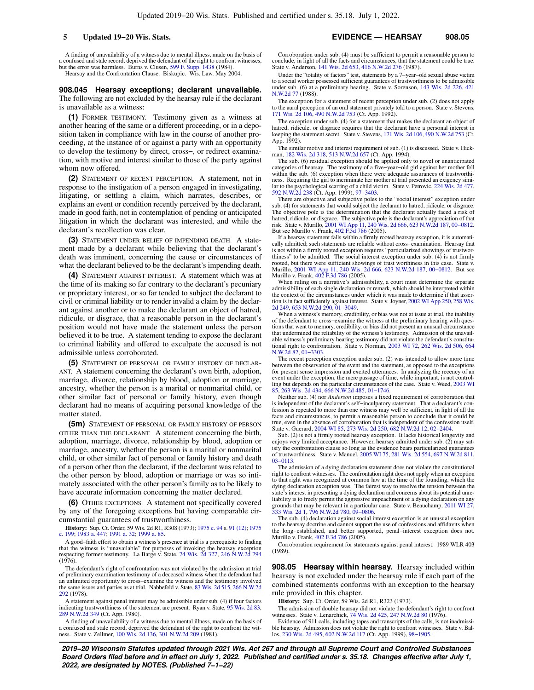**5 Updated 19−20 Wis. Stats. EVIDENCE — HEARSAY 908.05**

A finding of unavailability of a witness due to mental illness, made on the basis of a confused and stale record, deprived the defendant of the right to confront witnesses, but the error was harmless. Burns v. Clusen, [599 F. Supp. 1438](https://docs.legis.wisconsin.gov/document/courts/599%20F.%20Supp.%201438) (1984). Hearsay and the Confrontation Clause. Biskupic. Wis. Law. May 2004.

**908.045 Hearsay exceptions; declarant unavailable.**

The following are not excluded by the hearsay rule if the declarant is unavailable as a witness:

**(1)** FORMER TESTIMONY. Testimony given as a witness at another hearing of the same or a different proceeding, or in a deposition taken in compliance with law in the course of another proceeding, at the instance of or against a party with an opportunity to develop the testimony by direct, cross−, or redirect examination, with motive and interest similar to those of the party against whom now offered.

**(2)** STATEMENT OF RECENT PERCEPTION. A statement, not in response to the instigation of a person engaged in investigating, litigating, or settling a claim, which narrates, describes, or explains an event or condition recently perceived by the declarant, made in good faith, not in contemplation of pending or anticipated litigation in which the declarant was interested, and while the declarant's recollection was clear.

**(3)** STATEMENT UNDER BELIEF OF IMPENDING DEATH. A statement made by a declarant while believing that the declarant's death was imminent, concerning the cause or circumstances of what the declarant believed to be the declarant's impending death.

**(4)** STATEMENT AGAINST INTEREST. A statement which was at the time of its making so far contrary to the declarant's pecuniary or proprietary interest, or so far tended to subject the declarant to civil or criminal liability or to render invalid a claim by the declarant against another or to make the declarant an object of hatred, ridicule, or disgrace, that a reasonable person in the declarant's position would not have made the statement unless the person believed it to be true. A statement tending to expose the declarant to criminal liability and offered to exculpate the accused is not admissible unless corroborated.

**(5)** STATEMENT OF PERSONAL OR FAMILY HISTORY OF DECLAR-ANT. A statement concerning the declarant's own birth, adoption, marriage, divorce, relationship by blood, adoption or marriage, ancestry, whether the person is a marital or nonmarital child, or other similar fact of personal or family history, even though declarant had no means of acquiring personal knowledge of the matter stated.

**(5m)** STATEMENT OF PERSONAL OR FAMILY HISTORY OF PERSON OTHER THAN THE DECLARANT. A statement concerning the birth, adoption, marriage, divorce, relationship by blood, adoption or marriage, ancestry, whether the person is a marital or nonmarital child, or other similar fact of personal or family history and death of a person other than the declarant, if the declarant was related to the other person by blood, adoption or marriage or was so intimately associated with the other person's family as to be likely to have accurate information concerning the matter declared.

**(6)** OTHER EXCEPTIONS. A statement not specifically covered by any of the foregoing exceptions but having comparable circumstantial guarantees of trustworthiness.

**History:** Sup. Ct. Order, 59 Wis. 2d R1, R308 (1973); [1975 c. 94](https://docs.legis.wisconsin.gov/document/acts/1975/94) s. [91 \(12\);](https://docs.legis.wisconsin.gov/document/acts/1975/94,%20s.%2091) [1975](https://docs.legis.wisconsin.gov/document/acts/1975/199) [c. 199;](https://docs.legis.wisconsin.gov/document/acts/1975/199) [1983 a. 447;](https://docs.legis.wisconsin.gov/document/acts/1983/447) [1991 a. 32;](https://docs.legis.wisconsin.gov/document/acts/1991/32) [1999 a. 85.](https://docs.legis.wisconsin.gov/document/acts/1999/85)

A good−faith effort to obtain a witness's presence at trial is a prerequisite to finding that the witness is "unavailable" for purposes of invoking the hearsay exception respecting former testimony. La Barge v. State, [74 Wis. 2d 327](https://docs.legis.wisconsin.gov/document/courts/74%20Wis.%202d%20327), [246 N.W.2d 794](https://docs.legis.wisconsin.gov/document/courts/246%20N.W.2d%20794)  $(1976)$ .

The defendant's right of confrontation was not violated by the admission at trial of preliminary examination testimony of a deceased witness when the defendant had an unlimited opportunity to cross−examine the witness and the testimony involved the same issues and parties as at trial. Nabbefeld v. State, [83 Wis. 2d 515,](https://docs.legis.wisconsin.gov/document/courts/83%20Wis.%202d%20515) [266 N.W.2d](https://docs.legis.wisconsin.gov/document/courts/266%20N.W.2d%20292) [292](https://docs.legis.wisconsin.gov/document/courts/266%20N.W.2d%20292) (1978).

A statement against penal interest may be admissible under sub. (4) if four factors indicating trustworthiness of the statement are present. Ryan v. State, [95 Wis. 2d 83](https://docs.legis.wisconsin.gov/document/courts/95%20Wis.%202d%2083), [289 N.W.2d 349](https://docs.legis.wisconsin.gov/document/courts/289%20N.W.2d%20349) (Ct. App. 1980).

A finding of unavailability of a witness due to mental illness, made on the basis of a confused and stale record, deprived the defendant of the right to confront the witness. State v. Zellmer, [100 Wis. 2d 136,](https://docs.legis.wisconsin.gov/document/courts/100%20Wis.%202d%20136) [301 N.W.2d 209](https://docs.legis.wisconsin.gov/document/courts/301%20N.W.2d%20209) (1981).

Corroboration under sub. (4) must be sufficient to permit a reasonable person to conclude, in light of all the facts and circumstances, that the statement could be true. State v. Anderson, [141 Wis. 2d 653](https://docs.legis.wisconsin.gov/document/courts/141%20Wis.%202d%20653), [416 N.W.2d 276](https://docs.legis.wisconsin.gov/document/courts/416%20N.W.2d%20276) (1987).

Under the "totality of factors" test, statements by a 7−year−old sexual abuse victim to a social worker possessed sufficient guarantees of trustworthiness to be admissible under sub. (6) at a preliminary hearing. State v. Sorenson, [143 Wis. 2d 226,](https://docs.legis.wisconsin.gov/document/courts/143%20Wis.%202d%20226) [421](https://docs.legis.wisconsin.gov/document/courts/421%20N.W.2d%2077) [N.W.2d 77](https://docs.legis.wisconsin.gov/document/courts/421%20N.W.2d%2077) (1988).

The exception for a statement of recent perception under sub. (2) does not apply to the aural perception of an oral statement privately told to a person. State v. Stevens, [171 Wis. 2d 106](https://docs.legis.wisconsin.gov/document/courts/171%20Wis.%202d%20106), [490 N.W.2d 753](https://docs.legis.wisconsin.gov/document/courts/490%20N.W.2d%20753) (Ct. App. 1992).

The exception under sub. (4) for a statement that makes the declarant an object of hatred, ridicule, or disgrace requires that the declarant have a personal interest in keeping the statement secret. State v. Stevens, [171 Wis. 2d 106](https://docs.legis.wisconsin.gov/document/courts/171%20Wis.%202d%20106), [490 N.W.2d 753](https://docs.legis.wisconsin.gov/document/courts/490%20N.W.2d%20753) (Ct. App. 1992).

The similar motive and interest requirement of sub. (1) is discussed. State v. Hick-man, [182 Wis. 2d 318,](https://docs.legis.wisconsin.gov/document/courts/182%20Wis.%202d%20318) [513 N.W.2d 657](https://docs.legis.wisconsin.gov/document/courts/513%20N.W.2d%20657) (Ct. App. 1994).

The sub. (6) residual exception should be applied only to novel or unanticipated categories of hearsay. The testimony of a five−year−old girl against her mother fell within the sub. (6) exception when there were adequate assurances of trustworthiness. Requiring the girl to incriminate her mother at trial presented an exigency similar to the psychological scarring of a child victim. State v. Petrovic, [224 Wis. 2d 477](https://docs.legis.wisconsin.gov/document/courts/224%20Wis.%202d%20477), N.W.2d 238 (Ct. App. 1999), 97-3403.

There are objective and subjective poles to the "social interest" exception under sub. (4) for statements that would subject the declarant to hatred, ridicule, or disgrace The objective pole is the determination that the declarant actually faced a risk of hatred, ridicule, or disgrace. The subjective pole is the declarant's appreciation of that risk. State v. Murillo, [2001 WI App 11,](https://docs.legis.wisconsin.gov/document/courts/2001%20WI%20App%2011) [240 Wis. 2d 666](https://docs.legis.wisconsin.gov/document/courts/240%20Wis.%202d%20666), [623 N.W.2d 187,](https://docs.legis.wisconsin.gov/document/courts/623%20N.W.2d%20187) [00−0812](https://docs.legis.wisconsin.gov/document/wicourtofappeals/00-0812). But see Murillo v. Frank, [402 F.3d 786](https://docs.legis.wisconsin.gov/document/courts/402%20F.3d%20786) (2005).

If a hearsay statement falls within a firmly rooted hearsay exception, it is automati-cally admitted; such statements are reliable without cross−examination. Hearsay that is not within a firmly rooted exception requires "particularized showings of trustworthiness" to be admitted. The social interest exception under sub. (4) is not firmly rooted, but there were sufficient showings of trust worthiness in this case. State v. Murillo, [2001 WI App 11,](https://docs.legis.wisconsin.gov/document/courts/2001%20WI%20App%2011) [240 Wis. 2d 666](https://docs.legis.wisconsin.gov/document/courts/240%20Wis.%202d%20666), [623 N.W.2d 187](https://docs.legis.wisconsin.gov/document/courts/623%20N.W.2d%20187), [00−0812.](https://docs.legis.wisconsin.gov/document/wicourtofappeals/00-0812) But see Murillo v. Frank, [402 F.3d 786](https://docs.legis.wisconsin.gov/document/courts/402%20F.3d%20786) (2005).

When ruling on a narrative's admissibility, a court must determine the separate admissibility of each single declaration or remark, which should be interpreted within the context of the circumstances under which it was made to determine if that asser-tion is in fact sufficiently against interest. State v. Joyner, [2002 WI App 250](https://docs.legis.wisconsin.gov/document/courts/2002%20WI%20App%20250), [258 Wis.](https://docs.legis.wisconsin.gov/document/courts/258%20Wis.%202d%20249) [2d 249](https://docs.legis.wisconsin.gov/document/courts/258%20Wis.%202d%20249), [653 N.W.2d 290,](https://docs.legis.wisconsin.gov/document/courts/653%20N.W.2d%20290) [01−3049](https://docs.legis.wisconsin.gov/document/wicourtofappeals/01-3049).

When a witness's memory, credibility, or bias was not at issue at trial, the inability of the defendant to cross−examine the witness at the preliminary hearing with ques-tions that went to memory, credibility, or bias did not present an unusual circumstance that undermined the reliability of the witness's testimony. Admission of the unavailable witness's preliminary hearing testimony did not violate the defendant's constitutional right to confrontation. State v. Norman, [2003 WI 72](https://docs.legis.wisconsin.gov/document/courts/2003%20WI%2072), [262 Wis. 2d 506,](https://docs.legis.wisconsin.gov/document/courts/262%20Wis.%202d%20506) [664](https://docs.legis.wisconsin.gov/document/courts/664%20N.W.2d%2082) [N.W.2d 82](https://docs.legis.wisconsin.gov/document/courts/664%20N.W.2d%2082), [01−3303](https://docs.legis.wisconsin.gov/document/wisupremecourt/01-3303).

The recent perception exception under sub. (2) was intended to allow more time between the observation of the event and the statement, as opposed to the exceptions for present sense impression and excited utterances. In analyzing the recency of an event under the exception, the mere passage of time, while important, is not controlling but depends on the particular circumstances of the case. State v. Weed, [2003 WI](https://docs.legis.wisconsin.gov/document/courts/2003%20WI%2085) [85](https://docs.legis.wisconsin.gov/document/courts/2003%20WI%2085), [263 Wis. 2d 434,](https://docs.legis.wisconsin.gov/document/courts/263%20Wis.%202d%20434) [666 N.W.2d 485](https://docs.legis.wisconsin.gov/document/courts/666%20N.W.2d%20485), [01−1746](https://docs.legis.wisconsin.gov/document/wisupremecourt/01-1746).

Neither sub. (4) nor *Anderson* imposes a fixed requirement of corroboration that is independent of the declarant's self−inculpatory statement. That a declarant's confession is repeated to more than one witness may well be sufficient, in light of all the facts and circumstances, to permit a reasonable person to conclude that it could be true, even in the absence of corroboration that is independent of the confession itself. State v. Guerard, [2004 WI 85](https://docs.legis.wisconsin.gov/document/courts/2004%20WI%2085), [273 Wis. 2d 250,](https://docs.legis.wisconsin.gov/document/courts/273%20Wis.%202d%20250) [682 N.W.2d 12,](https://docs.legis.wisconsin.gov/document/courts/682%20N.W.2d%2012) [02−2404](https://docs.legis.wisconsin.gov/document/wisupremecourt/02-2404).

Sub. (2) is not a firmly rooted hearsay exception. It lacks historical longevity and enjoys very limited acceptance. However, hearsay admitted under sub. (2) may satisfy the confrontation clause so long as the evidence bears particularized guarantees of trustworthiness. State v. Manuel, [2005 WI 75,](https://docs.legis.wisconsin.gov/document/courts/2005%20WI%2075) [281 Wis. 2d 554](https://docs.legis.wisconsin.gov/document/courts/281%20Wis.%202d%20554), [697 N.W.2d 811](https://docs.legis.wisconsin.gov/document/courts/697%20N.W.2d%20811), [03−0113](https://docs.legis.wisconsin.gov/document/wisupremecourt/03-0113).

The admission of a dying declaration statement does not violate the constitutional right to confront witnesses. The confrontation right does not apply when an exception to that right was recognized at common law at the time of the founding, which the dying declaration exception was. The fairest way to resolve the tension between the state's interest in presenting a dying declaration and concerns about its potential unreliability is to freely permit the aggressive impeachment of a dying declaration on any grounds that may be relevant in a particular case. State v. Beauchamp, [2011 WI 27](https://docs.legis.wisconsin.gov/document/courts/2011%20WI%2027), [333 Wis. 2d 1](https://docs.legis.wisconsin.gov/document/courts/333%20Wis.%202d%201), [796 N.W.2d 780,](https://docs.legis.wisconsin.gov/document/courts/796%20N.W.2d%20780) [09−0806.](https://docs.legis.wisconsin.gov/document/wisupremecourt/09-0806)

The sub. (4) declaration against social interest exception is an unusual exception to the hearsay doctrine and cannot support the use of confessions and affidavits when the long−established, and better supported, penal−interest exception does not. Murillo v. Frank, [402 F.3d 786](https://docs.legis.wisconsin.gov/document/courts/402%20F.3d%20786) (2005).

Corroboration requirement for statements against penal interest. 1989 WLR 403 (1989).

**908.05 Hearsay within hearsay.** Hearsay included within hearsay is not excluded under the hearsay rule if each part of the combined statements conforms with an exception to the hearsay rule provided in this chapter.

**History:** Sup. Ct. Order, 59 Wis. 2d R1, R323 (1973).

The admission of double hearsay did not violate the defendant's right to confront witnesses. State v. Lenarchick, [74 Wis. 2d 425,](https://docs.legis.wisconsin.gov/document/courts/74%20Wis.%202d%20425) [247 N.W.2d 80](https://docs.legis.wisconsin.gov/document/courts/247%20N.W.2d%2080) (1976).

Evidence of 911 calls, including tapes and transcripts of the calls, is not inadmissible hearsay. Admission does not violate the right to confront witnesses. State v. Ballos, [230 Wis. 2d 495,](https://docs.legis.wisconsin.gov/document/courts/230%20Wis.%202d%20495) [602 N.W.2d 117](https://docs.legis.wisconsin.gov/document/courts/602%20N.W.2d%20117) (Ct. App. 1999), [98−1905](https://docs.legis.wisconsin.gov/document/wicourtofappeals/98-1905).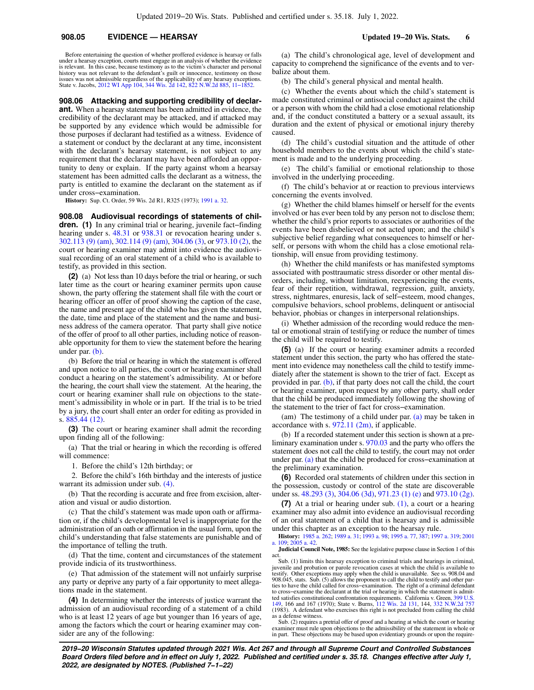# **908.05 EVIDENCE — HEARSAY Updated 19−20 Wis. Stats. 6**

Before entertaining the question of whether proffered evidence is hearsay or falls under a hearsay exception, courts must engage in an analysis of whether the evidence is relevant. In this case, because testimony as to the victim's character and personal history was not relevant to the defendant's guilt or innocence, testimony on those issues was not admissible regardless of the applicability of any hearsay exceptions. State v. Jacobs, [2012 WI App 104](https://docs.legis.wisconsin.gov/document/courts/2012%20WI%20App%20104), [344 Wis. 2d 142,](https://docs.legis.wisconsin.gov/document/courts/344%20Wis.%202d%20142) [822 N.W.2d 885](https://docs.legis.wisconsin.gov/document/courts/822%20N.W.2d%20885), [11−1852](https://docs.legis.wisconsin.gov/document/wicourtofappeals/11-1852).

**908.06 Attacking and supporting credibility of declarant.** When a hearsay statement has been admitted in evidence, the credibility of the declarant may be attacked, and if attacked may be supported by any evidence which would be admissible for those purposes if declarant had testified as a witness. Evidence of a statement or conduct by the declarant at any time, inconsistent with the declarant's hearsay statement, is not subject to any requirement that the declarant may have been afforded an opportunity to deny or explain. If the party against whom a hearsay statement has been admitted calls the declarant as a witness, the party is entitled to examine the declarant on the statement as if under cross−examination.

**History:** Sup. Ct. Order, 59 Wis. 2d R1, R325 (1973); [1991 a. 32.](https://docs.legis.wisconsin.gov/document/acts/1991/32)

**908.08 Audiovisual recordings of statements of children. (1)** In any criminal trial or hearing, juvenile fact−finding hearing under s. [48.31](https://docs.legis.wisconsin.gov/document/statutes/48.31) or [938.31](https://docs.legis.wisconsin.gov/document/statutes/938.31) or revocation hearing under s. [302.113 \(9\) \(am\)](https://docs.legis.wisconsin.gov/document/statutes/302.113(9)(am)), [302.114 \(9\) \(am\),](https://docs.legis.wisconsin.gov/document/statutes/302.114(9)(am)) [304.06 \(3\)](https://docs.legis.wisconsin.gov/document/statutes/304.06(3)), or [973.10 \(2\),](https://docs.legis.wisconsin.gov/document/statutes/973.10(2)) the court or hearing examiner may admit into evidence the audiovisual recording of an oral statement of a child who is available to testify, as provided in this section.

**(2)** (a) Not less than 10 days before the trial or hearing, or such later time as the court or hearing examiner permits upon cause shown, the party offering the statement shall file with the court or hearing officer an offer of proof showing the caption of the case, the name and present age of the child who has given the statement, the date, time and place of the statement and the name and business address of the camera operator. That party shall give notice of the offer of proof to all other parties, including notice of reasonable opportunity for them to view the statement before the hearing under par. [\(b\).](https://docs.legis.wisconsin.gov/document/statutes/908.08(2)(b))

(b) Before the trial or hearing in which the statement is offered and upon notice to all parties, the court or hearing examiner shall conduct a hearing on the statement's admissibility. At or before the hearing, the court shall view the statement. At the hearing, the court or hearing examiner shall rule on objections to the statement's admissibility in whole or in part. If the trial is to be tried by a jury, the court shall enter an order for editing as provided in s. [885.44 \(12\)](https://docs.legis.wisconsin.gov/document/statutes/885.44(12)).

**(3)** The court or hearing examiner shall admit the recording upon finding all of the following:

(a) That the trial or hearing in which the recording is offered will commence:

1. Before the child's 12th birthday; or

2. Before the child's 16th birthday and the interests of justice warrant its admission under sub. [\(4\).](https://docs.legis.wisconsin.gov/document/statutes/908.08(4))

(b) That the recording is accurate and free from excision, alteration and visual or audio distortion.

(c) That the child's statement was made upon oath or affirmation or, if the child's developmental level is inappropriate for the administration of an oath or affirmation in the usual form, upon the child's understanding that false statements are punishable and of the importance of telling the truth.

(d) That the time, content and circumstances of the statement provide indicia of its trustworthiness.

(e) That admission of the statement will not unfairly surprise any party or deprive any party of a fair opportunity to meet allegations made in the statement.

**(4)** In determining whether the interests of justice warrant the admission of an audiovisual recording of a statement of a child who is at least 12 years of age but younger than 16 years of age, among the factors which the court or hearing examiner may consider are any of the following:

(a) The child's chronological age, level of development and capacity to comprehend the significance of the events and to verbalize about them.

(b) The child's general physical and mental health.

(c) Whether the events about which the child's statement is made constituted criminal or antisocial conduct against the child or a person with whom the child had a close emotional relationship and, if the conduct constituted a battery or a sexual assault, its duration and the extent of physical or emotional injury thereby caused.

(d) The child's custodial situation and the attitude of other household members to the events about which the child's statement is made and to the underlying proceeding.

(e) The child's familial or emotional relationship to those involved in the underlying proceeding.

(f) The child's behavior at or reaction to previous interviews concerning the events involved.

(g) Whether the child blames himself or herself for the events involved or has ever been told by any person not to disclose them; whether the child's prior reports to associates or authorities of the events have been disbelieved or not acted upon; and the child's subjective belief regarding what consequences to himself or herself, or persons with whom the child has a close emotional relationship, will ensue from providing testimony.

(h) Whether the child manifests or has manifested symptoms associated with posttraumatic stress disorder or other mental disorders, including, without limitation, reexperiencing the events, fear of their repetition, withdrawal, regression, guilt, anxiety, stress, nightmares, enuresis, lack of self−esteem, mood changes, compulsive behaviors, school problems, delinquent or antisocial behavior, phobias or changes in interpersonal relationships.

(i) Whether admission of the recording would reduce the mental or emotional strain of testifying or reduce the number of times the child will be required to testify.

**(5)** (a) If the court or hearing examiner admits a recorded statement under this section, the party who has offered the statement into evidence may nonetheless call the child to testify immediately after the statement is shown to the trier of fact. Except as provided in par. [\(b\)](https://docs.legis.wisconsin.gov/document/statutes/908.08(5)(b)), if that party does not call the child, the court or hearing examiner, upon request by any other party, shall order that the child be produced immediately following the showing of the statement to the trier of fact for cross−examination.

(am) The testimony of a child under par. [\(a\)](https://docs.legis.wisconsin.gov/document/statutes/908.08(5)(a)) may be taken in accordance with s.  $972.11$  (2m), if applicable.

(b) If a recorded statement under this section is shown at a preliminary examination under s. [970.03](https://docs.legis.wisconsin.gov/document/statutes/970.03) and the party who offers the statement does not call the child to testify, the court may not order under par. [\(a\)](https://docs.legis.wisconsin.gov/document/statutes/908.08(5)(a)) that the child be produced for cross−examination at the preliminary examination.

**(6)** Recorded oral statements of children under this section in the possession, custody or control of the state are discoverable under ss. [48.293 \(3\)](https://docs.legis.wisconsin.gov/document/statutes/48.293(3)), [304.06 \(3d\)](https://docs.legis.wisconsin.gov/document/statutes/304.06(3d)), [971.23 \(1\) \(e\)](https://docs.legis.wisconsin.gov/document/statutes/971.23(1)(e)) and [973.10 \(2g\).](https://docs.legis.wisconsin.gov/document/statutes/973.10(2g))

**(7)** At a trial or hearing under sub. [\(1\)](https://docs.legis.wisconsin.gov/document/statutes/908.08(1)), a court or a hearing examiner may also admit into evidence an audiovisual recording of an oral statement of a child that is hearsay and is admissible under this chapter as an exception to the hearsay rule.

**History:** [1985 a. 262;](https://docs.legis.wisconsin.gov/document/acts/1985/262) [1989 a. 31](https://docs.legis.wisconsin.gov/document/acts/1989/31); [1993 a. 98;](https://docs.legis.wisconsin.gov/document/acts/1993/98) [1995 a. 77](https://docs.legis.wisconsin.gov/document/acts/1995/77), [387;](https://docs.legis.wisconsin.gov/document/acts/1995/387) [1997 a. 319;](https://docs.legis.wisconsin.gov/document/acts/1997/319) [2001](https://docs.legis.wisconsin.gov/document/acts/2001/109) [a. 109](https://docs.legis.wisconsin.gov/document/acts/2001/109); [2005 a. 42](https://docs.legis.wisconsin.gov/document/acts/2005/42).

**Judicial Council Note, 1985:** See the legislative purpose clause in Section 1 of this act. Sub. (1) limits this hearsay exception to criminal trials and hearings in criminal,

juvenile and probation or parole revocation cases at which the child is available to testify. Other exceptions may apply when the child is unavailable. See ss. 908.04 and 908.045, stats. Sub. (5) allows the proponent to call the child to testify and other parties to have the child called for cross−examination. The right of a criminal defendant to cross–examine the declarant at the trial or hearing in which the statement is admitted satisfies constitutional confrontation requirements. California v. Green, [399 U.S.](https://docs.legis.wisconsin.gov/document/courts/399%20U.S.%20149) [149,](https://docs.legis.wisconsin.gov/document/courts/399%20U.S.%20149) 166 and 167 (1970); State v. Burns, [112 Wis. 2d 131,](https://docs.legis.wisconsin.gov/document/courts/112%20Wis.%202d%20131) 144, [332 N.W.2d 757](https://docs.legis.wisconsin.gov/document/courts/332%20N.W.2d%20757) (1983). A defendant who exercises this right is not precluded from calling the child as a defense witness.

Sub. (2) requires a pretrial offer of proof and a hearing at which the court or hearing examiner must rule upon objections to the admissibility of the statement in whole or in part. These objections may be based upon evidentiary grounds or upon the require-